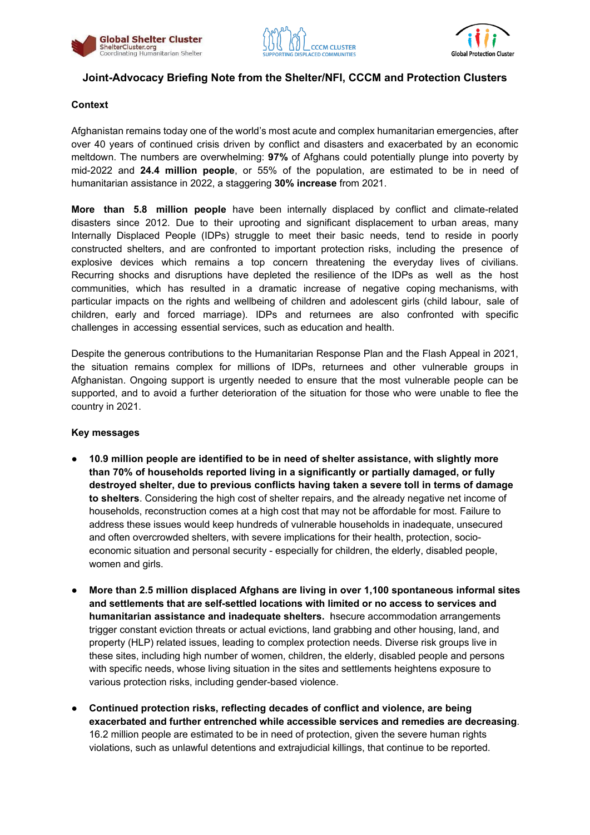





# **Joint-Advocacy Briefing Note from the Shelter/NFI, CCCM and Protection Clusters**

#### **Context**

Afghanistan remains today one of the world's most acute and complex humanitarian emergencies, after over 40 years of continued crisis driven by conflict and disasters and exacerbated by an economic meltdown. The numbers are overwhelming: **97%** of Afghans could potentially plunge into poverty by mid-2022 and **24.4 million people**, or 55% of the population, are estimated to be in need of humanitarian assistance in 2022, a staggering **30% increase** from 2021.

**More than 5.8 million people** have been internally displaced by conflict and climate-related disasters since 2012. Due to their uprooting and significant displacement to urban areas, many Internally Displaced People (IDPs) struggle to meet their basic needs, tend to reside in poorly constructed shelters, and are confronted to important protection risks, including the presence of explosive devices which remains a top concern threatening the everyday lives of civilians. Recurring shocks and disruptions have depleted the resilience of the IDPs as well as the host communities, which has resulted in a dramatic increase of negative coping mechanisms, with particular impacts on the rights and wellbeing of children and adolescent girls (child labour, sale of children, early and forced marriage). IDPs and returnees are also confronted with specific challenges in accessing essential services, such as education and health.

Despite the generous contributions to the Humanitarian Response Plan and the Flash Appeal in 2021, the situation remains complex for millions of IDPs, returnees and other vulnerable groups in Afghanistan. Ongoing support is urgently needed to ensure that the most vulnerable people can be supported, and to avoid a further deterioration of the situation for those who were unable to flee the country in 2021.

#### **Key messages**

- **10.9 million people are identified to be in need of shelter assistance, with slightly more than 70% of households reported living in a significantly or partially damaged, or fully destroyed shelter, due to previous conflicts having taken a severe toll in terms of damage to shelters**. Considering the high cost of shelter repairs, and the already negative net income of households, reconstruction comes at a high cost that may not be affordable for most. Failure to address these issues would keep hundreds of vulnerable households in inadequate, unsecured and often overcrowded shelters, with severe implications for their health, protection, socioeconomic situation and personal security - especially for children, the elderly, disabled people, women and girls.
- **More than 2.5 million displaced Afghans are living in over 1,100 spontaneous informal sites and settlements that are self-settled locations with limited or no access to services and humanitarian assistance and inadequate shelters.** Insecure accommodation arrangements trigger constant eviction threats or actual evictions, land grabbing and other housing, land, and property (HLP) related issues, leading to complex protection needs. Diverse risk groups live in these sites, including high number of women, children, the elderly, disabled people and persons with specific needs, whose living situation in the sites and settlements heightens exposure to various protection risks, including gender-based violence.
- **Continued protection risks, reflecting decades of conflict and violence, are being exacerbated and further entrenched while accessible services and remedies are decreasing**. 16.2 million people are estimated to be in need of protection, given the severe human rights violations, such as unlawful detentions and extrajudicial killings, that continue to be reported.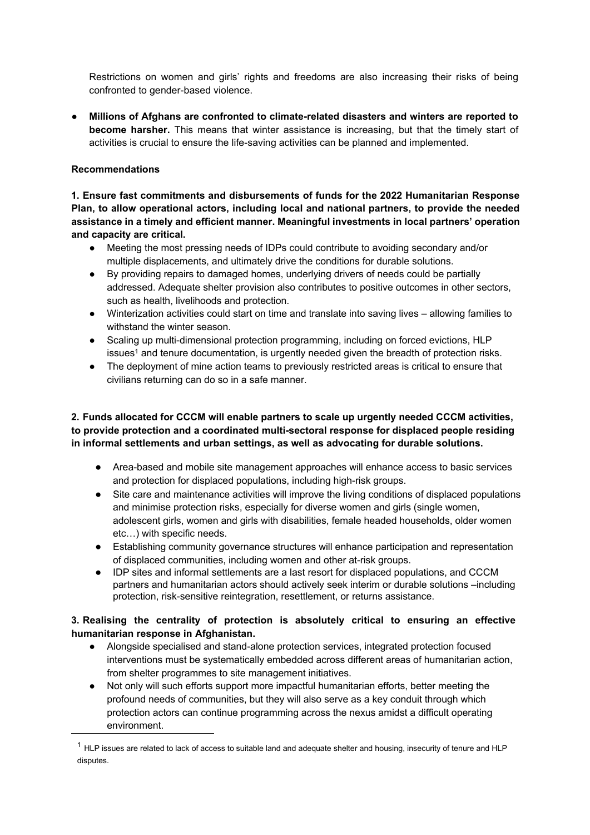Restrictions on women and girls' rights and freedoms are also increasing their risks of being confronted to gender-based violence.

● **Millions of Afghans are confronted to climate-related disasters and winters are reported to become harsher.** This means that winter assistance is increasing, but that the timely start of activities is crucial to ensure the life-saving activities can be planned and implemented.

### **Recommendations**

**1. Ensure fast commitments and disbursements of funds for the 2022 Humanitarian Response Plan, to allow operational actors, including local and national partners, to provide the needed assistance in a timely and efficient manner. Meaningful investments in local partners' operation and capacity are critical.**

- Meeting the most pressing needs of IDPs could contribute to avoiding secondary and/or multiple displacements, and ultimately drive the conditions for durable solutions.
- By providing repairs to damaged homes, underlying drivers of needs could be partially addressed. Adequate shelter provision also contributes to positive outcomes in other sectors, such as health, livelihoods and protection.
- Winterization activities could start on time and translate into saving lives allowing families to withstand the winter season.
- Scaling up multi-dimensional protection programming, including on forced evictions, HLP issues<sup>[1](#page-1-0)</sup> and tenure documentation, is urgently needed given the breadth of protection risks.
- The deployment of mine action teams to previously restricted areas is critical to ensure that civilians returning can do so in a safe manner.

## **2. Funds allocated for CCCM will enable partners to scale up urgently needed CCCM activities, to provide protection and a coordinated multi-sectoral response for displaced people residing in informal settlements and urban settings, as well as advocating for durable solutions.**

- Area-based and mobile site management approaches will enhance access to basic services and protection for displaced populations, including high-risk groups.
- Site care and maintenance activities will improve the living conditions of displaced populations and minimise protection risks, especially for diverse women and girls (single women, adolescent girls, women and girls with disabilities, female headed households, older women etc…) with specific needs.
- Establishing community governance structures will enhance participation and representation of displaced communities, including women and other at-risk groups.
- IDP sites and informal settlements are a last resort for displaced populations, and CCCM partners and humanitarian actors should actively seek interim or durable solutions –including protection, risk-sensitive reintegration, resettlement, or returns assistance.

### **3. Realising the centrality of protection is absolutely critical to ensuring an effective humanitarian response in Afghanistan.**

- Alongside specialised and stand-alone protection services, integrated protection focused interventions must be systematically embedded across different areas of humanitarian action, from shelter programmes to site management initiatives.
- Not only will such efforts support more impactful humanitarian efforts, better meeting the profound needs of communities, but they will also serve as a key conduit through which protection actors can continue programming across the nexus amidst a difficult operating environment.

<span id="page-1-0"></span> $1$  HLP issues are related to lack of access to suitable land and adequate shelter and housing, insecurity of tenure and HLP disputes.